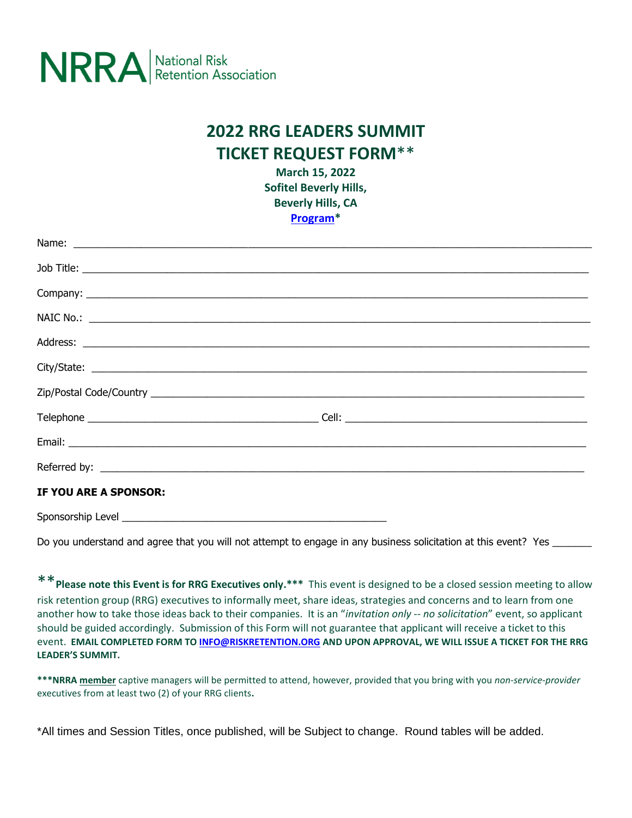

## **2022 RRG LEADERS SUMMIT TICKET REQUEST FORM**\*\*

**March 15, 2022 Sofitel Beverly Hills, Beverly Hills, CA [Program\\*](https://drive.google.com/file/d/1BqIjJY_j4NXOT-EKjPqiHs02VtZzTNJi/view?usp=sharing)**

| IF YOU ARE A SPONSOR: |  |
|-----------------------|--|
| Sponsorship Level     |  |

Do you understand and agree that you will not attempt to engage in any business solicitation at this event? Yes

\*\***Please note this Event is for RRG Executives only.\*\*\*** This event is designed to be a closed session meeting to allow risk retention group (RRG) executives to informally meet, share ideas, strategies and concerns and to learn from one another how to take those ideas back to their companies. It is an "*invitation only -- no solicitation*" event, so applicant should be guided accordingly. Submission of this Form will not guarantee that applicant will receive a ticket to this event. **EMAIL COMPLETED FORM TO [INFO@RISKRETENTION.ORG](mailto:INFO@RISKRETENTION.ORG) AND UPON APPROVAL, WE WILL ISSUE A TICKET FOR THE RRG LEADER'S SUMMIT.** 

**\*\*\*NRRA member** captive managers will be permitted to attend, however, provided that you bring with you *non-service-provider* executives from at least two (2) of your RRG clients**.** 

\*All times and Session Titles, once published, will be Subject to change. Round tables will be added.